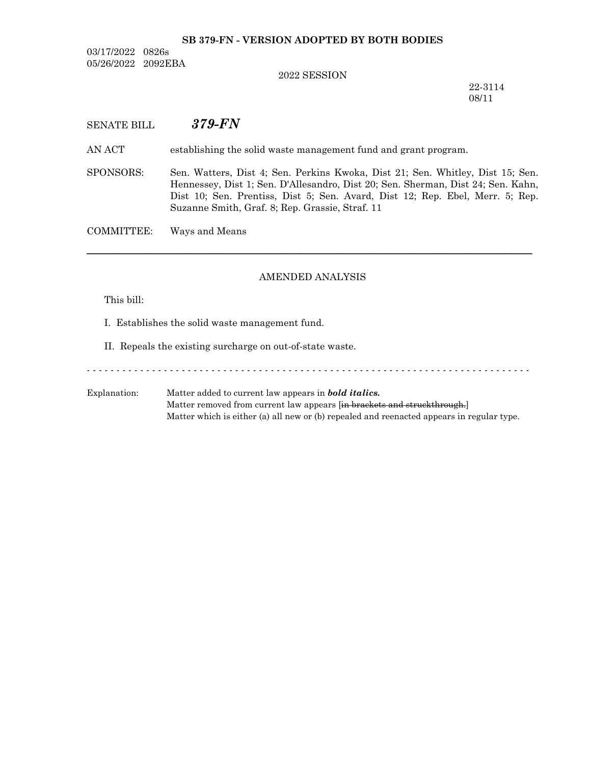# **SB 379-FN - VERSION ADOPTED BY BOTH BODIES**

03/17/2022 0826s 05/26/2022 2092EBA

#### 2022 SESSION

22-3114 08/11

# SENATE BILL *379-FN*

AN ACT establishing the solid waste management fund and grant program.

SPONSORS: Sen. Watters, Dist 4; Sen. Perkins Kwoka, Dist 21; Sen. Whitley, Dist 15; Sen. Hennessey, Dist 1; Sen. D'Allesandro, Dist 20; Sen. Sherman, Dist 24; Sen. Kahn, Dist 10; Sen. Prentiss, Dist 5; Sen. Avard, Dist 12; Rep. Ebel, Merr. 5; Rep. Suzanne Smith, Graf. 8; Rep. Grassie, Straf. 11

COMMITTEE: Ways and Means

## AMENDED ANALYSIS

─────────────────────────────────────────────────────────────────

This bill:

I. Establishes the solid waste management fund.

II. Repeals the existing surcharge on out-of-state waste.

- - - - - - - - - - - - - - - - - - - - - - - - - - - - - - - - - - - - - - - - - - - - - - - - - - - - - - - - - - - - - - - - - - - - - - - - - - -

Explanation: Matter added to current law appears in *bold italics.* Matter removed from current law appears [in brackets and struckthrough.] Matter which is either (a) all new or (b) repealed and reenacted appears in regular type.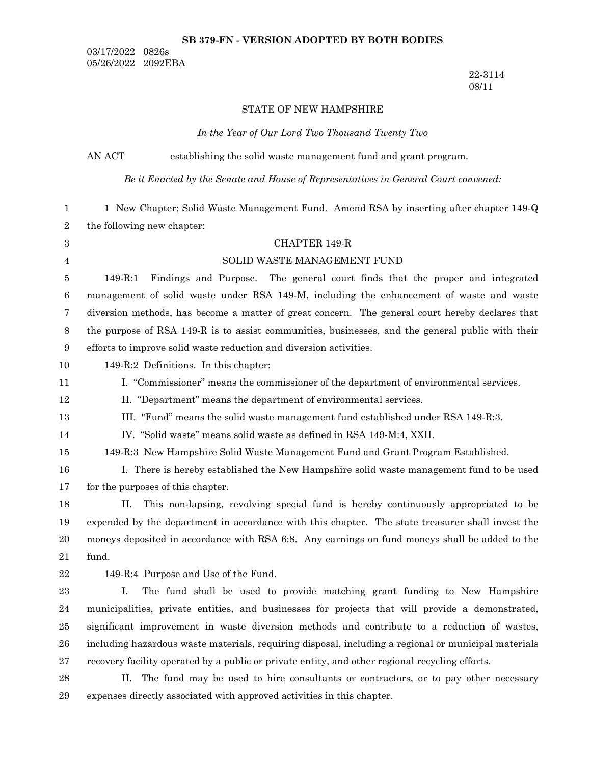#### **SB 379-FN - VERSION ADOPTED BY BOTH BODIES**

03/17/2022 0826s 05/26/2022 2092EBA

> 22-3114 08/11

## STATE OF NEW HAMPSHIRE

*In the Year of Our Lord Two Thousand Twenty Two*

AN ACT establishing the solid waste management fund and grant program.

*Be it Enacted by the Senate and House of Representatives in General Court convened:*

1 New Chapter; Solid Waste Management Fund. Amend RSA by inserting after chapter 149-Q the following new chapter: 1 2

| $\,3$            | CHAPTER 149-R                                                                                        |  |  |  |  |  |  |
|------------------|------------------------------------------------------------------------------------------------------|--|--|--|--|--|--|
| $\overline{4}$   | SOLID WASTE MANAGEMENT FUND                                                                          |  |  |  |  |  |  |
| 5                | $149 - R:1$<br>Findings and Purpose. The general court finds that the proper and integrated          |  |  |  |  |  |  |
| $\,6\,$          | management of solid waste under RSA 149-M, including the enhancement of waste and waste              |  |  |  |  |  |  |
| $\overline{7}$   | diversion methods, has become a matter of great concern. The general court hereby declares that      |  |  |  |  |  |  |
| $8\phantom{1}$   | the purpose of RSA 149-R is to assist communities, businesses, and the general public with their     |  |  |  |  |  |  |
| $\boldsymbol{9}$ | efforts to improve solid waste reduction and diversion activities.                                   |  |  |  |  |  |  |
| 10               | 149-R:2 Definitions. In this chapter:                                                                |  |  |  |  |  |  |
| 11               | I. "Commissioner" means the commissioner of the department of environmental services.                |  |  |  |  |  |  |
| 12               | II. "Department" means the department of environmental services.                                     |  |  |  |  |  |  |
| 13               | III. "Fund" means the solid waste management fund established under RSA 149-R:3.                     |  |  |  |  |  |  |
| 14               | IV. "Solid waste" means solid waste as defined in RSA 149-M:4, XXII.                                 |  |  |  |  |  |  |
| 15               | 149-R:3 New Hampshire Solid Waste Management Fund and Grant Program Established.                     |  |  |  |  |  |  |
| 16               | I. There is hereby established the New Hampshire solid waste management fund to be used              |  |  |  |  |  |  |
| 17               | for the purposes of this chapter.                                                                    |  |  |  |  |  |  |
| 18               | This non-lapsing, revolving special fund is hereby continuously appropriated to be<br>H.             |  |  |  |  |  |  |
| 19               | expended by the department in accordance with this chapter. The state treasurer shall invest the     |  |  |  |  |  |  |
| 20               | moneys deposited in accordance with RSA 6:8. Any earnings on fund moneys shall be added to the       |  |  |  |  |  |  |
| 21               | fund.                                                                                                |  |  |  |  |  |  |
| $22\,$           | 149-R:4 Purpose and Use of the Fund.                                                                 |  |  |  |  |  |  |
| 23               | $I_{\cdot}$<br>The fund shall be used to provide matching grant funding to New Hampshire             |  |  |  |  |  |  |
| 24               | municipalities, private entities, and businesses for projects that will provide a demonstrated,      |  |  |  |  |  |  |
| $25\,$           | significant improvement in waste diversion methods and contribute to a reduction of wastes,          |  |  |  |  |  |  |
| 26               | including hazardous waste materials, requiring disposal, including a regional or municipal materials |  |  |  |  |  |  |
| 27               | recovery facility operated by a public or private entity, and other regional recycling efforts.      |  |  |  |  |  |  |
| 28               | The fund may be used to hire consultants or contractors, or to pay other necessary<br>$\Pi$ .        |  |  |  |  |  |  |
| 29               | expenses directly associated with approved activities in this chapter.                               |  |  |  |  |  |  |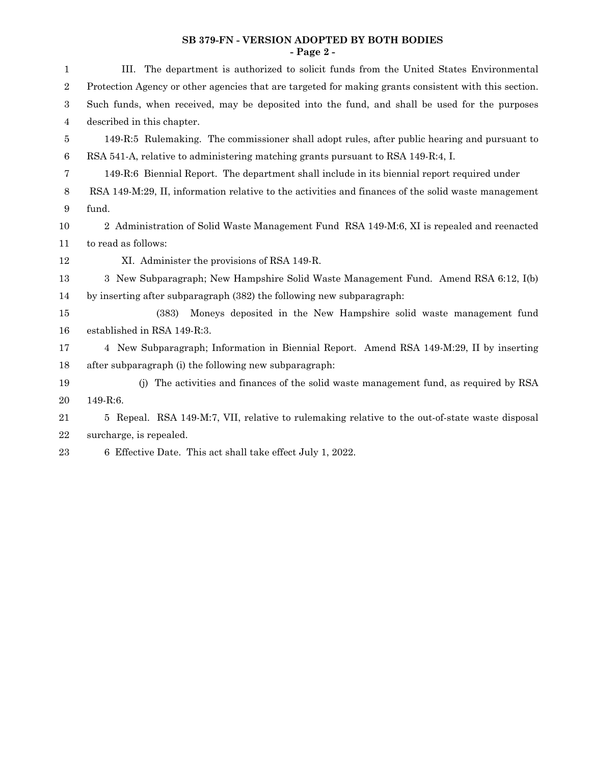#### **SB 379-FN - VERSION ADOPTED BY BOTH BODIES - Page 2 -**

| $\mathbf 1$ | III. The department is authorized to solicit funds from the United States Environmental               |  |  |  |  |  |  |
|-------------|-------------------------------------------------------------------------------------------------------|--|--|--|--|--|--|
| $\sqrt{2}$  | Protection Agency or other agencies that are targeted for making grants consistent with this section. |  |  |  |  |  |  |
| 3           | Such funds, when received, may be deposited into the fund, and shall be used for the purposes         |  |  |  |  |  |  |
| 4           | described in this chapter.                                                                            |  |  |  |  |  |  |
| 5           | 149-R:5 Rulemaking. The commissioner shall adopt rules, after public hearing and pursuant to          |  |  |  |  |  |  |
| 6           | RSA 541-A, relative to administering matching grants pursuant to RSA 149-R:4, I.                      |  |  |  |  |  |  |
| 7           | 149-R:6 Biennial Report. The department shall include in its biennial report required under           |  |  |  |  |  |  |
| $8\,$       | RSA 149-M:29, II, information relative to the activities and finances of the solid waste management   |  |  |  |  |  |  |
| 9           | fund.                                                                                                 |  |  |  |  |  |  |
| 10          | 2 Administration of Solid Waste Management Fund RSA 149-M:6, XI is repealed and reenacted             |  |  |  |  |  |  |
| 11          | to read as follows:                                                                                   |  |  |  |  |  |  |
| 12          | XI. Administer the provisions of RSA 149-R.                                                           |  |  |  |  |  |  |
| 13          | 3 New Subparagraph; New Hampshire Solid Waste Management Fund. Amend RSA 6:12, I(b)                   |  |  |  |  |  |  |
| 14          | by inserting after subparagraph (382) the following new subparagraph:                                 |  |  |  |  |  |  |
| 15          | Moneys deposited in the New Hampshire solid waste management fund<br>(383)                            |  |  |  |  |  |  |
| 16          | established in RSA 149-R:3.                                                                           |  |  |  |  |  |  |
| 17          | 4 New Subparagraph; Information in Biennial Report. Amend RSA 149-M:29, II by inserting               |  |  |  |  |  |  |
| 18          | after subparagraph (i) the following new subparagraph:                                                |  |  |  |  |  |  |
| 19          | The activities and finances of the solid waste management fund, as required by RSA<br>(i)             |  |  |  |  |  |  |
| 20          | 149-R:6.                                                                                              |  |  |  |  |  |  |
| 21          | 5 Repeal. RSA 149-M:7, VII, relative to rulemaking relative to the out-of-state waste disposal        |  |  |  |  |  |  |
| 22          | surcharge, is repealed.                                                                               |  |  |  |  |  |  |
| 23          | 6 Effective Date. This act shall take effect July 1, 2022.                                            |  |  |  |  |  |  |